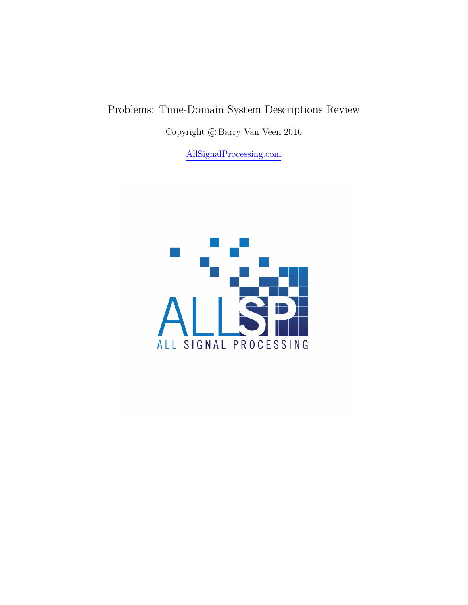## Problems: Time-Domain System Descriptions Review

Copyright  $\copyright$  Barry Van Veen 2016

[AllSignalProcessing.com](http://allsignalprocessing.com)

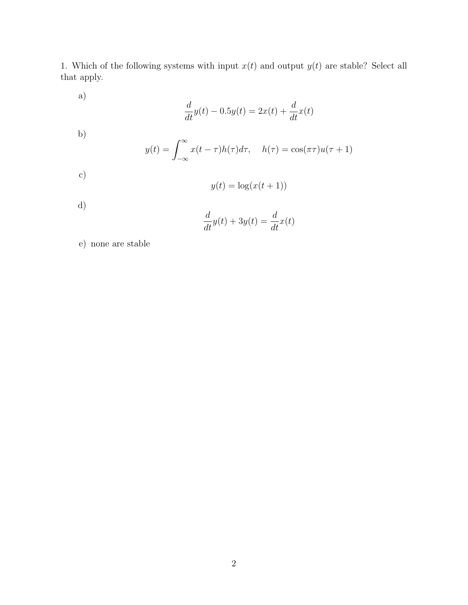1. Which of the following systems with input  $x(t)$  and output  $y(t)$  are stable? Select all that apply.

a)

$$
\frac{d}{dt}y(t) - 0.5y(t) = 2x(t) + \frac{d}{dt}x(t)
$$

b)

$$
y(t) = \int_{-\infty}^{\infty} x(t - \tau)h(\tau)d\tau, \quad h(\tau) = \cos(\pi \tau)u(\tau + 1)
$$

c)

$$
y(t) = \log(x(t+1))
$$

d)

$$
\frac{d}{dt}y(t)+3y(t)=\frac{d}{dt}x(t)
$$

e) none are stable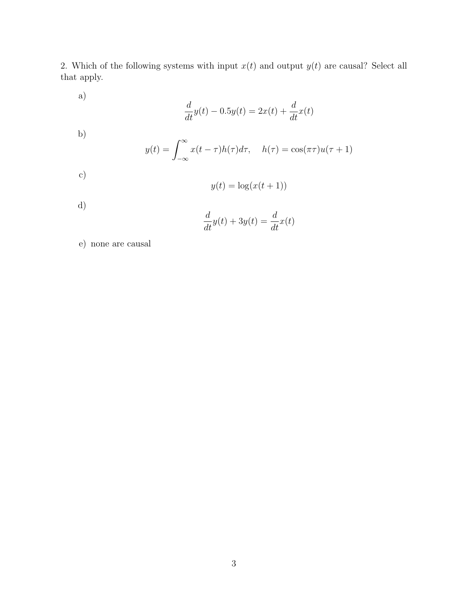2. Which of the following systems with input  $x(t)$  and output  $y(t)$  are causal? Select all that apply.

a)

$$
\frac{d}{dt}y(t) - 0.5y(t) = 2x(t) + \frac{d}{dt}x(t)
$$

b)

$$
y(t) = \int_{-\infty}^{\infty} x(t - \tau)h(\tau)d\tau, \quad h(\tau) = \cos(\pi\tau)u(\tau + 1)
$$

c)

$$
y(t) = \log(x(t+1))
$$

d)

$$
\frac{d}{dt}y(t)+3y(t)=\frac{d}{dt}x(t)
$$

e) none are causal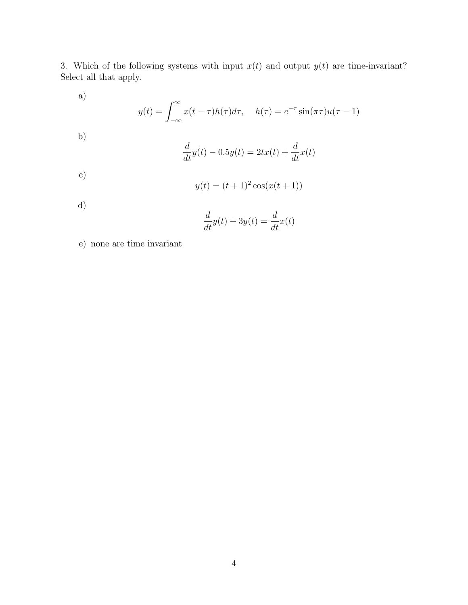3. Which of the following systems with input  $x(t)$  and output  $y(t)$  are time-invariant? Select all that apply.

a)  $y(t) = \int^{\infty}$ −∞  $x(t-\tau)h(\tau)d\tau$ ,  $h(\tau) = e^{-\tau}\sin(\pi\tau)u(\tau-1)$ b)  $\frac{d}{dt}y(t) - 0.5y(t) = 2tx(t) + \frac{d}{dt}x(t)$ c)  $y(t) = (t+1)^2 \cos(x(t+1))$ d)

$$
\frac{d}{dt}y(t) + 3y(t) = \frac{d}{dt}x(t)
$$

e) none are time invariant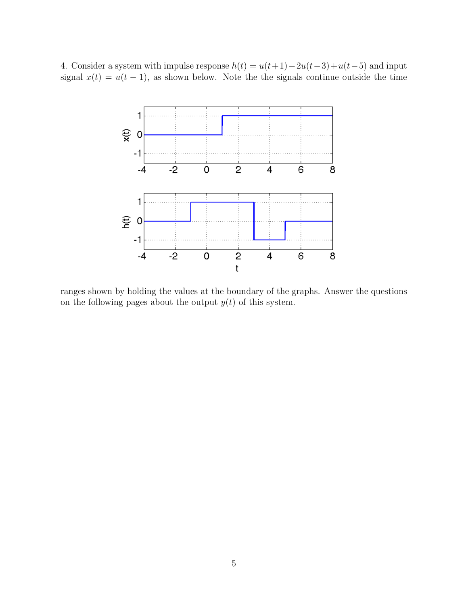4. Consider a system with impulse response  $h(t) = u(t+1) - 2u(t-3) + u(t-5)$  and input signal  $x(t) = u(t-1)$ , as shown below. Note the signals continue outside the time



ranges shown by holding the values at the boundary of the graphs. Answer the questions on the following pages about the output  $y(t)$  of this system.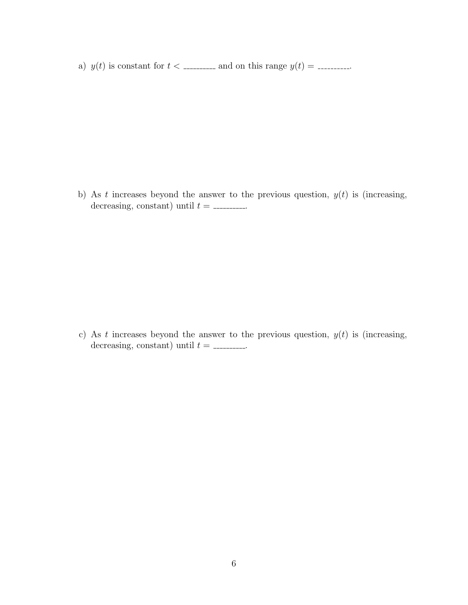a)  $y(t)$  is constant for  $t <$  \_\_\_\_\_\_\_\_\_ and on this range  $y(t) =$  \_\_\_\_\_\_\_\_\_.

b) As t increases beyond the answer to the previous question,  $y(t)$  is (increasing, decreasing, constant) until  $t =$  \_\_\_\_\_\_\_\_\_.

c) As t increases beyond the answer to the previous question,  $y(t)$  is (increasing, decreasing, constant) until  $t =$  \_\_\_\_\_\_\_\_\_.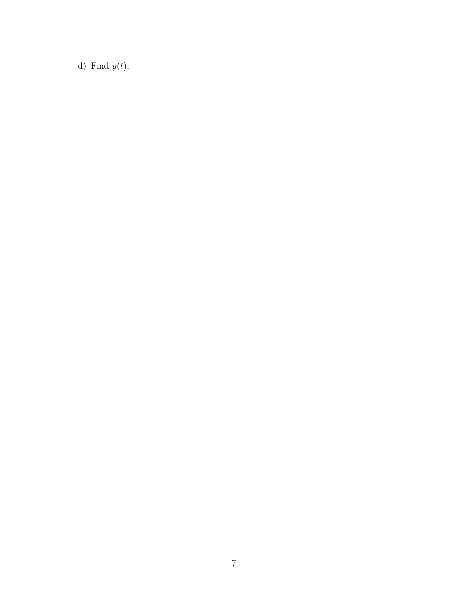d) Find  $y(t)$ .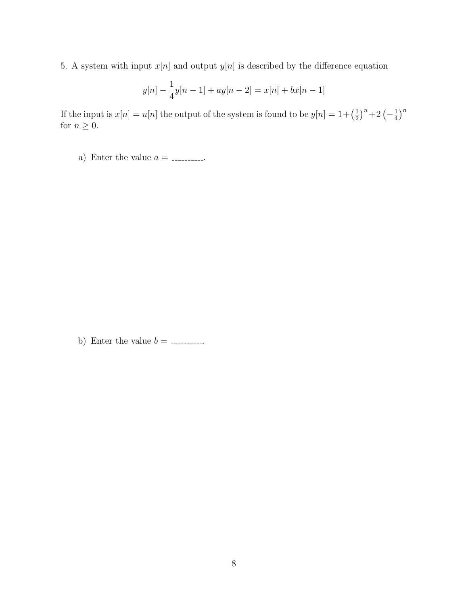5. A system with input  $x[n]$  and output  $y[n]$  is described by the difference equation

$$
y[n] - \frac{1}{4}y[n-1] + ay[n-2] = x[n] + bx[n-1]
$$

If the input is  $x[n] = u[n]$  the output of the system is found to be  $y[n] = 1 + \left(\frac{1}{2}\right)^n$  $(\frac{1}{2})^n + 2(-\frac{1}{4})$  $\frac{1}{4}$ <sup>n</sup> for  $n\geq 0.$ 

a) Enter the value  $a =$  \_\_\_\_\_\_\_\_\_.

b) Enter the value  $b =$  \_\_\_\_\_\_\_\_\_.